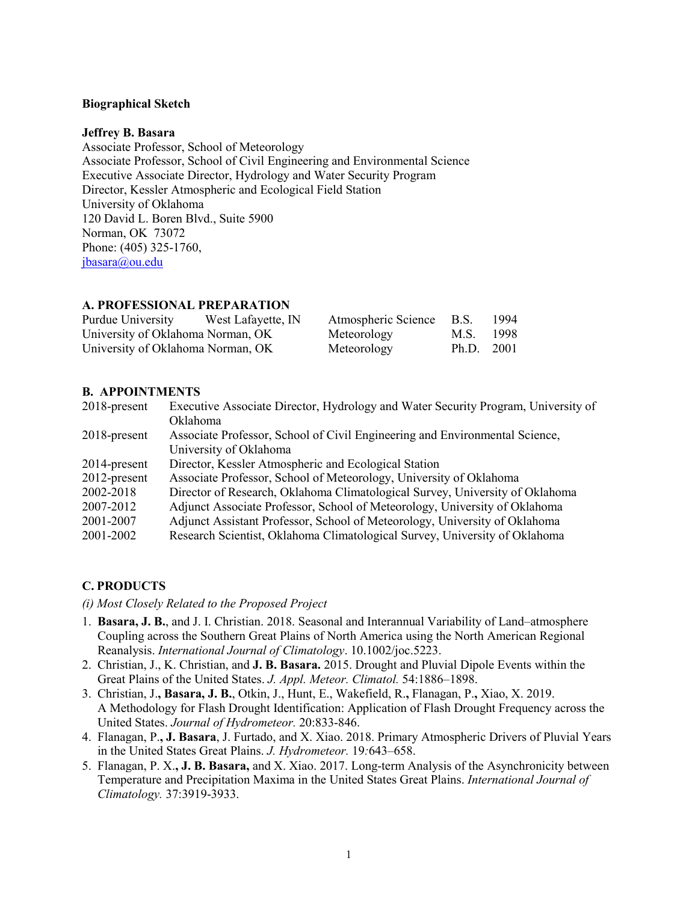### **Biographical Sketch**

#### **Jeffrey B. Basara**

Associate Professor, School of Meteorology Associate Professor, School of Civil Engineering and Environmental Science Executive Associate Director, Hydrology and Water Security Program Director, Kessler Atmospheric and Ecological Field Station University of Oklahoma 120 David L. Boren Blvd., Suite 5900 Norman, OK 73072 Phone: (405) 325-1760, [jbasara@ou.edu](mailto:jbrotzge@ou.edu)

# **A. PROFESSIONAL PREPARATION**

| Purdue University                 | West Lafayette, IN | Atmospheric Science B.S. |            | 1994 |
|-----------------------------------|--------------------|--------------------------|------------|------|
| University of Oklahoma Norman, OK |                    | Meteorology              | M.S. 1998  |      |
| University of Oklahoma Norman, OK |                    | Meteorology              | Ph.D. 2001 |      |

## **B. APPOINTMENTS**

| $2018$ -present | Executive Associate Director, Hydrology and Water Security Program, University of |
|-----------------|-----------------------------------------------------------------------------------|
|                 | Oklahoma                                                                          |
| $2018$ -present | Associate Professor, School of Civil Engineering and Environmental Science,       |
|                 | University of Oklahoma                                                            |
| $2014$ -present | Director, Kessler Atmospheric and Ecological Station                              |
| 2012-present    | Associate Professor, School of Meteorology, University of Oklahoma                |
| 2002-2018       | Director of Research, Oklahoma Climatological Survey, University of Oklahoma      |
| 2007-2012       | Adjunct Associate Professor, School of Meteorology, University of Oklahoma        |
| 2001-2007       | Adjunct Assistant Professor, School of Meteorology, University of Oklahoma        |
| 2001-2002       | Research Scientist, Oklahoma Climatological Survey, University of Oklahoma        |

# **C. PRODUCTS**

*(i) Most Closely Related to the Proposed Project*

- 1. **Basara, J. B.**, and J. I. Christian. 2018. Seasonal and Interannual Variability of Land–atmosphere Coupling across the Southern Great Plains of North America using the North American Regional Reanalysis. *International Journal of Climatology*. 10.1002/joc.5223.
- 2. Christian, J., K. Christian, and **J. B. Basara.** 2015. Drought and Pluvial Dipole Events within the Great Plains of the United States. *J. Appl. Meteor. Climatol.* 54:1886–1898.
- 3. Christian, J.**, Basara, J. B.**, Otkin, J., Hunt, E., Wakefield, R.**,** Flanagan, P.**,** Xiao, X. 2019. A Methodology for Flash Drought Identification: Application of Flash Drought Frequency across the United States. *Journal of Hydrometeor.* 20:833-846.
- 4. Flanagan, P.**, J. Basara**, J. Furtado, and X. Xiao. 2018. Primary Atmospheric Drivers of Pluvial Years in the United States Great Plains. *J. Hydrometeor.* 19*:*643–658.
- 5. Flanagan, P. X.**, J. B. Basara,** and X. Xiao. 2017. Long-term Analysis of the Asynchronicity between Temperature and Precipitation Maxima in the United States Great Plains. *International Journal of Climatology.* 37:3919-3933.